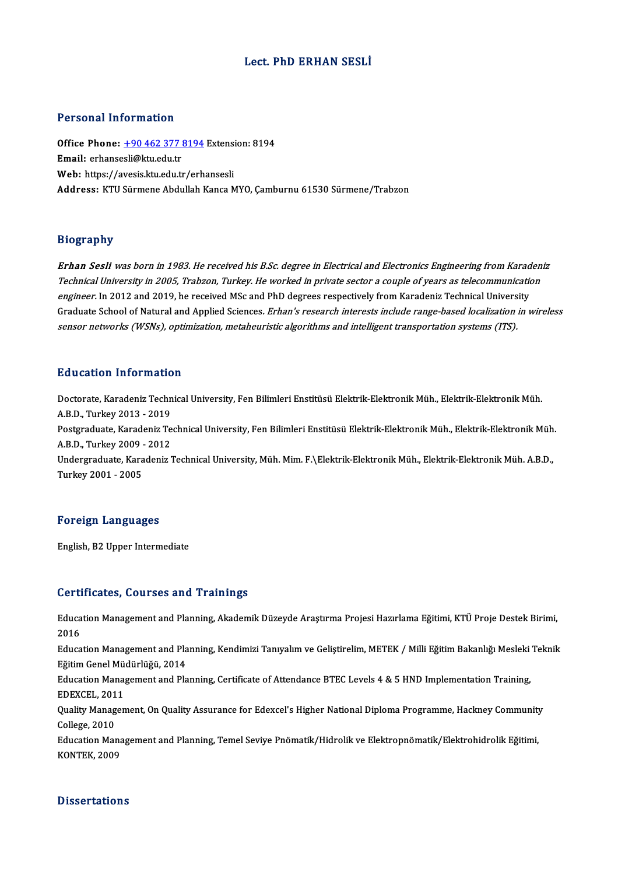# Lect. PhD ERHAN SESLİ

## Personal Information

Personal Information<br>Office Phone: <u>+90 462 377 8194</u> Extension: 8194<br>Email: erhansesli@ku.edu.tr er erbende entertræden.<br>Office Phone: <u>+90 462 377 i</u><br>Email: erhanse[sli@ktu.edu.tr](tel:+90 462 377 8194) Office Phone: <u>+90 462 377 8194</u> Extensi<br>Email: erhansesli@ktu.edu.tr<br>Web: https://avesis.ktu.edu.tr/erhansesli<br>Address. KTU Sürmane Abdullah Kansa A Email: erhansesli@ktu.edu.tr<br>Web: https://avesis.ktu.edu.tr/erhansesli<br>Address: KTU Sürmene Abdullah Kanca MYO, Camburnu 61530 Sürmene/Trabzon

## Biography

Erhan Sesli was born in 1983. He received his B.Sc. degree in Electrical and Electronics Engineering from Karadeniz<br>Technical University in 2005, Trabzon, Turkey. He worked in private sector a couple of years as telecommun TechnicalUniversity in2005,Trabzon,Turkey.Heworked inprivate sector <sup>a</sup> couple of years as telecommunication engineer. In 2012 and 2019, he received MSc and PhD degrees respectively from Karadeniz Technical University<br>Graduate School of Natural and Applied Sciences*. Erhan's research interests include range-based localization in* sensor networks (WSNs), optimization, metaheuristic algorithms and intelligent transportation systems (ITS).

## Education Information

Education Information<br>Doctorate, Karadeniz Technical University, Fen Bilimleri Enstitüsü Elektrik-Elektronik Müh., Elektrik-Elektronik Müh.<br>A.B.D. Turkey 2012, 2019 Adacation Information<br>Doctorate, Karadeniz Techn<br>A.B.D., Turkey 2013 - 2019<br>Restauduate Karadeniz Te Doctorate, Karadeniz Technical University, Fen Bilimleri Enstitüsü Elektrik-Elektronik Müh., Elektrik-Elektronik Müh.<br>A.B.D., Turkey 2013 - 2019<br>Postgraduate, Karadeniz Technical University, Fen Bilimleri Enstitüsü Elektri A.B.D., Turkey 2013 - 2019<br>Postgraduate, Karadeniz Te<br>A.B.D., Turkey 2009 - 2012<br>Undergraduate, Karadeniz I Postgraduate, Karadeniz Technical University, Fen Bilimleri Enstitüsü Elektrik-Elektronik Müh., Elektrik-Elektronik Müh<br>A.B.D., Turkey 2009 - 2012<br>Undergraduate, Karadeniz Technical University, Müh. Mim. F.\Elektrik-Elektr

A.B.D., Turkey 2009 - 2012<br>Undergraduate, Karadeniz Technical University, Müh. Mim. F.\Elektrik-Elektronik Müh., Elektrik-Elektronik Müh. A.B.D.,<br>Turkey 2001 - 2005

### Foreign Languages

English,B2Upper Intermediate

### Certificates, Courses and Trainings

Certificates, Courses and Trainings<br>Education Management and Planning, Akademik Düzeyde Araştırma Projesi Hazırlama Eğitimi, KTÜ Proje Destek Birimi,<br>2016 eeres<br>Educa<br>2016 Education Management and Planning, Akademik Düzeyde Araştırma Projesi Hazırlama Eğitimi, KTÜ Proje Destek Birimi,<br>2016<br>Education Management and Planning, Kendimizi Tanıyalım ve Geliştirelim, METEK / Milli Eğitim Bakanlığı

2016<br>Education Management and Pla<br>Eğitim Genel Müdürlüğü, 2014<br>Education Management and Pla Education Management and Planning, Kendimizi Tanıyalım ve Geliştirelim, METEK / Milli Eğitim Bakanlığı Mesleki<br>Eğitim Genel Müdürlüğü, 2014<br>Education Management and Planning, Certificate of Attendance BTEC Levels 4 & 5 HND

Eğitim Genel Müdürlüğü, 2014<br>Education Management and Planning, Certificate of Attendance BTEC Levels 4 & 5 HND Implementation Training,<br>EDEXCEL, 2011 Education Management and Planning, Certificate of Attendance BTEC Levels 4 & 5 HND Implementation Training,<br>EDEXCEL, 2011<br>Quality Management, On Quality Assurance for Edexcel's Higher National Diploma Programme, Hackney Co

EDEXCEL, 201<br>Quality Manag<br>College, 2010<br>Education Man Quality Management, On Quality Assurance for Edexcel's Higher National Diploma Programme, Hackney Community<br>College, 2010<br>Education Management and Planning, Temel Seviye Pnömatik/Hidrolik ve Elektropnömatik/Elektrohidrolik

College, 2010<br>Education Management and Planning, Temel Seviye Pnömatik/Hidrolik ve Elektropnömatik/Elektrohidrolik Eğitimi,<br>KONTEK, 2009

# **Dissertations**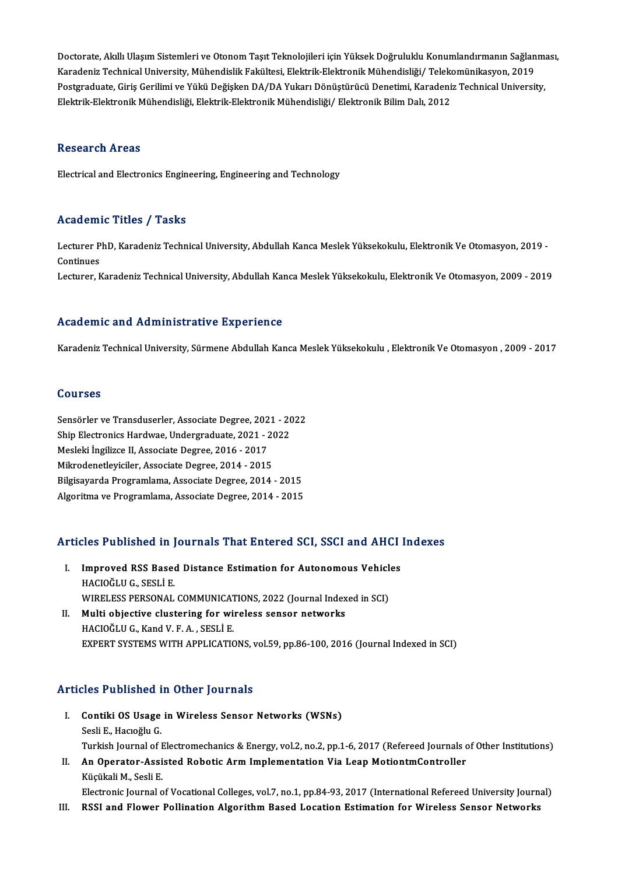Doctorate, Akıllı Ulaşım Sistemleri ve Otonom Taşıt Teknolojileri için Yüksek Doğruluklu Konumlandırmanın Sağlanması,<br>Kanadoniz Technicel University Mühandislik Felsültesi, Elektrik Flektronik Mühandisliği ( Telekomünikası Doctorate, Akıllı Ulaşım Sistemleri ve Otonom Taşıt Teknolojileri için Yüksek Doğruluklu Konumlandırmanın Sağlan<br>Karadeniz Technical University, Mühendislik Fakültesi, Elektrik-Elektronik Mühendisliği/ Telekomünikasyon, 20 Doctorate, Akıllı Ulaşım Sistemleri ve Otonom Taşıt Teknolojileri için Yüksek Doğruluklu Konumlandırmanın Sağlanma<br>Karadeniz Technical University, Mühendislik Fakültesi, Elektrik-Elektronik Mühendisliği/ Telekomünikasyon, Karadeniz Technical University, Mühendislik Fakültesi, Elektrik-Elektronik Mühendisliği/ Telekomünikasyon, 2019<br>Postgraduate, Giriş Gerilimi ve Yükü Değişken DA/DA Yukarı Dönüştürücü Denetimi, Karadeniz Technical Universit

## **Research Areas**

Electrical and Electronics Engineering, Engineering and Technology

# Academic Titles / Tasks

**Academic Titles / Tasks**<br>Lecturer PhD, Karadeniz Technical University, Abdullah Kanca Meslek Yüksekokulu, Elektronik Ve Otomasyon, 2019 -<br>Centinues Lecturer P<br>Continues<br>Lecturer P Lecturer PhD, Karadeniz Technical University, Abdullah Kanca Meslek Yüksekokulu, Elektronik Ve Otomasyon, 2019 -<br>Continues<br>Lecturer, Karadeniz Technical University, Abdullah Kanca Meslek Yüksekokulu, Elektronik Ve Otomasyo Lecturer, Karadeniz Technical University, Abdullah Kanca Meslek Yüksekokulu, Elektronik Ve Otomasyon, 2009 - 2019<br>Academic and Administrative Experience

Karadeniz Technical University, Sürmene Abdullah Kanca Meslek Yüksekokulu , Elektronik Ve Otomasyon , 2009 - 2017

# Courses

Courses<br>Sensörler ve Transduserler, Associate Degree, 2021 - 2022<br>Shin Electronies Hordune, Undergreduate, 2021 - 2022 Sensörler ve Transduserler, Associate Degree, 2021 - 20<br>Ship Electronics Hardwae, Undergraduate, 2021 - 2022<br>Mesleki İngilizee II. Associate Degree, 2016 - 2017 Sensörler ve Transduserler, Associate Degree, 202<br>Ship Electronics Hardwae, Undergraduate, 2021 - 2<br>Mesleki İngilizce II, Associate Degree, 2016 - 2017<br>Milmodenatlevisiler, Associate Degree, 2014 - 2015 Ship Electronics Hardwae, Undergraduate, 2021 - 2022<br>Mesleki İngilizce II, Associate Degree, 2016 - 2017<br>Mikrodenetleyiciler, Associate Degree, 2014 - 2015 Bilgisayarda Programlama, Associate Degree, 2014 - 2015 Algoritma ve Programlama, Associate Degree, 2014 - 2015

# Algoritma ve Programlama, Associate Degree, 2014 - 2015<br>Articles Published in Journals That Entered SCI, SSCI and AHCI Indexes

- rticles Published in Journals That Entered SCI, SSCI and AHCI<br>I. Improved RSS Based Distance Estimation for Autonomous Vehicles<br>HACIOČLUC SESLLE HOL T HOLLONOM III<br>Improved RSS Based<br>HACIOĞLU G., SESLİ E.<br>WIPELESS PERSONAL Improved RSS Based Distance Estimation for Autonomous Vehicl<br>HACIOĞLU G., SESLİ E.<br>WIRELESS PERSONAL COMMUNICATIONS, 2022 (Journal Indexed in SCI)<br>Multi objective elustering for wireless sensor natworks HACIOĞLU G., SESLİ E.<br>WIRELESS PERSONAL COMMUNICATIONS, 2022 (Journal Index<br>II. Multi objective clustering for wireless sensor networks<br>HACIOČLU C. Kand V. E.A., SESLİ E.
- WIRELESS PERSONAL COMMUNICAT<br>Multi objective clustering for wi:<br>HACIOĞLU G., Kand V. F. A. , SESLİ E.<br>EYRERT SYSTEMS WITH APPLICATIO EXPERTSYSTEMSWITHAPPLICATIONS,vol.59,pp.86-100,2016 (Journal Indexed inSCI)

# Articles Published in Other Journals

- rticles Published in Other Journals<br>I. Contiki OS Usage in Wireless Sensor Networks (WSNs)<br>Seeli E. Hageŏlu C Sesli<br>**E.**, Hacıoğlu G.<br>Sesli E., Hacıoğlu G.<br>Turkish Journal of L Sesli E., Hacıoğlu G.<br>Turkish Journal of Electromechanics & Energy, vol.2, no.2, pp.1-6, 2017 (Refereed Journals of Other Institutions) Sesli E., Hacıoğlu G.<br>Turkish Journal of Electromechanics & Energy, vol.2, no.2, pp.1-6, 2017 (Refereed Journals desp.<br>II. An Operator-Assisted Robotic Arm Implementation Via Leap MotiontmController<br>Kücülali M. Sesli E.
- Turkish Journal of <mark>H</mark><br>**An Operator-Assi**<br>Küçükali M., Sesli E.<br>Electronic Journal e Küçükali M., Sesli E.<br>Electronic Journal of Vocational Colleges, vol.7, no.1, pp.84-93, 2017 (International Refereed University Journal)

III. RSSI and Flower Pollination Algorithm Based Location Estimation for Wireless Sensor Networks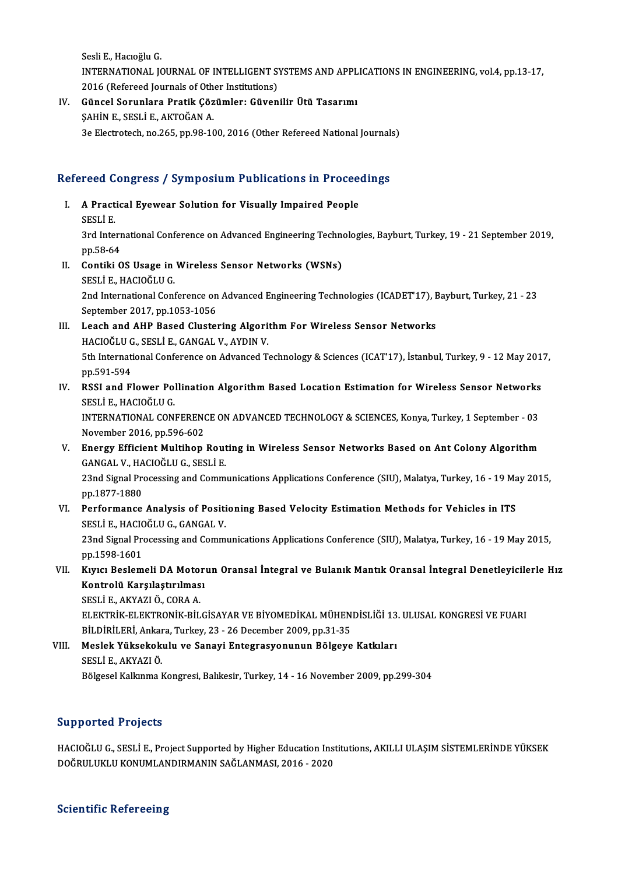Sesli E., Hacıoğlu G. Sesli E., Hacıoğlu G.<br>INTERNATIONAL JOURNAL OF INTELLIGENT SYSTEMS AND APPLICATIONS IN ENGINEERING, vol.4, pp.13-17,<br>2016 (Pefereed Journals of Other Institutions) Sesli E., Hacıoğlu G.<br>INTERNATIONAL JOURNAL OF INTELLIGENT S'<br>2016 (Refereed Journals of Other Institutions)<br>Günsel Sarunlare Pratik Görümler: Güyen INTERNATIONAL JOURNAL OF INTELLIGENT SYSTEMS AND APPL<br>2016 (Refereed Journals of Other Institutions)<br>IV. Güncel Sorunlara Pratik Çözümler: Güvenilir Ütü Tasarımı<br>5 AHİN E. SESLİ E. AKTOČAN A

2016 (Refereed Journals of Other Institutions)<br>IV. Güncel Sorunlara Pratik Çözümler: Güvenilir Ütü Tasarımı<br>ŞAHİN E., SESLİ E., AKTOĞAN A. 3e Electrotech, no.265, pp.98-100, 2016 (Other Refereed National Journals)

# se Electrotech, no.265, pp.98-100, 2016 (Other Refereed National Journals<br>Refereed Congress / Symposium Publications in Proceedings

- efereed Congress / Symposium Publications in Proceenties<br>I. A Practical Eyewear Solution for Visually Impaired People<br>SESLIE I. A Practical Eyewear Solution for Visually Impaired People<br>SESLİ E. <mark>A Practical Eyewear Solution for Visually Impaired People</mark><br>SESLİ E.<br>3rd International Conference on Advanced Engineering Technologies, Bayburt, Turkey, 19 - 21 September 2019,<br>nn 59 *64* SESLI E.<br>3rd Intern<br>pp.58-64<br>Centiki C pp.58-64<br>II. Contiki OS Usage in Wireless Sensor Networks (WSNs)
- SESLİ E., HACIOĞLU G. Contiki OS Usage in Wireless Sensor Networks (WSNs)<br>SESLİ E., HACIOĞLU G.<br>2nd International Conference on Advanced Engineering Technologies (ICADET'17), Bayburt, Turkey, 21 - 23<br>Sentember 2017, np.1052,1056 SESLİ E., HACIOĞLU G.<br>2nd International Conference on<br>September 2017, pp.1053-1056<br>Leash and AHB Based Cluster
- 2nd International Conference on Advanced Engineering Technologies (ICADET'17), F<br>September 2017, pp.1053-1056<br>III. Leach and AHP Based Clustering Algorithm For Wireless Sensor Networks<br>HACIOČLU C SESLI E CANCAL V AYDIN V September 2017, pp.1053-1056<br>Leach and AHP Based Clustering Algori<br>HACIOĞLU G., SESLİ E., GANGAL V., AYDIN V.<br>Eth International Conference on Advanced T. 5th International Conference on Advanced Technology & Sciences (ICAT'17), İstanbul, Turkey, 9 - 12 May 2017, pp.591-594 HACIOĞLU G., SESLİ E., GANGAL V., AYDIN V. 5th International Conference on Advanced Technology & Sciences (ICAT'17), İstanbul, Turkey, 9 - 12 May 201<br>pp.591-594<br>IV. RSSI and Flower Pollination Algorithm Based Location Estimation for Wireless Sensor Networks<br>seri J.
- pp.591-594<br>RSSI and Flower Pol<br>SESLİ E., HACIOĞLU G.<br>INTERNATIONAL CON. RSSI and Flower Pollination Algorithm Based Location Estimation for Wireless Sensor Networks<br>SESLİ E., HACIOĞLU G.<br>INTERNATIONAL CONFERENCE ON ADVANCED TECHNOLOGY & SCIENCES, Konya, Turkey, 1 September - 03<br>Nevember 2016,

SESLİ E., HACIOĞLU G.<br>INTERNATIONAL CONFERENCE ON ADVANCED TECHNOLOGY & SCIENCES, Konya, Turkey, 1 September - 03<br>November 2016, pp.596-602 INTERNATIONAL CONFERENCE ON ADVANCED TECHNOLOGY & SCIENCES, Konya, Turkey, 1 September - 03<br>November 2016, pp.596-602<br>V. Energy Efficient Multihop Routing in Wireless Sensor Networks Based on Ant Colony Algorithm<br>CANCAL V.

November 2016, pp.596-602<br>Energy Efficient Multihop Rout<br>GANGAL V., HACIOĞLU G., SESLİ E.<br>22nd Signal Presessing and Comm Energy Efficient Multihop Routing in Wireless Sensor Networks Based on Ant Colony Algorithm<br>GANGAL V., HACIOĞLU G., SESLİ E.<br>23nd Signal Processing and Communications Applications Conference (SIU), Malatya, Turkey, 16 - 19 GANGAL V., HACIOĞLU G., SESLİ E.<br>23nd Signal Processing and Communications Applications Conference (SIU), Malatya, Turkey, 16 - 19 May 2015,<br>pp.1877-1880

23nd Signal Processing and Communications Applications Conference (SIU), Malatya, Turkey, 16 - 19 Ma<br>pp.1877-1880<br>VI. Performance Analysis of Positioning Based Velocity Estimation Methods for Vehicles in ITS<br>SECULE HACIOČU

pp.1877-1880<br>Performance Analysis of Positi<br>SESLİ E., HACIOĞLU G., GANGAL V.<br>22nd Signal Prosessing and Comm Performance Analysis of Positioning Based Velocity Estimation Methods for Vehicles in ITS<br>SESLİ E., HACIOĞLU G., GANGAL V.<br>23nd Signal Processing and Communications Applications Conference (SIU), Malatya, Turkey, 16 - 19 M SESLI E., HACIC<br>23nd Signal Pro<br>pp.1598-1601<br>Kung Baslam

23nd Signal Processing and Communications Applications Conference (SIU), Malatya, Turkey, 16 - 19 May 2015,<br>pp.1598-1601<br>VII. Kıyıcı Beslemeli DA Motorun Oransal İntegral ve Bulanık Mantık Oransal İntegral Denetleyicilerle

pp.1598-1601<br>Kıyıcı Beslemeli DA Motor<br>Kontrolü Karşılaştırılması<br>SESLİE AKVAZLÖ CORAA Kıyıcı Beslemeli DA Moto:<br>Kontrolü Karşılaştırılmas<br>SESLİ E., AKYAZI Ö., CORA A.<br>ELEKTRİK ELEKTRONİK RİL

Kontrolü Karşılaştırılması<br>SESLİ E., AKYAZI Ö., CORA A.<br>ELEKTRİK-ELEKTRONİK-BİLGİSAYAR VE BİYOMEDİKAL MÜHENDİSLİĞİ 13. ULUSAL KONGRESİ VE FUARI BİLDİRİLERİ, Ankara, Turkey, 23 - 26 December 2009, pp.31-35 ELEKTRİK-ELEKTRONİK-BİLGİSAYAR VE BİYOMEDİKAL MÜHENDİSLİĞİ 13<br>BİLDİRİLERİ, Ankara, Turkey, 23 - 26 December 2009, pp.31-35<br>VIII. Meslek Yüksekokulu ve Sanayi Entegrasyonunun Bölgeye Katkıları<br>SESLİ E. AKVAZLÖ

BİLDİRİLERİ, Ankar<br>Meslek Yüksekok<br>SESLİ E., AKYAZI Ö.<br>Pölgesel Kallanma I Meslek Yüksekokulu ve Sanayi Entegrasyonunun Bölgeye Katkıları<br>SESLİ E., AKYAZI Ö.<br>Bölgesel Kalkınma Kongresi, Balıkesir, Turkey, 14 - 16 November 2009, pp.299-304 Bölgesel Kalkınma Kongresi, Balıkesir, Turkey, 14 - 16 November 2009, pp.299-304<br>Supported Projects

Supported Projects<br>HACIOĞLU G., SESLİ E., Project Supported by Higher Education Institutions, AKILLI ULAŞIM SİSTEMLERİNDE YÜKSEK<br>DOĞRULUKLU KONUMLANDIRMANIN SAĞLANMASL 2016, 2020 DAPPOTECA TTOJOCES<br>HACIOĞLU G., SESLİ E., Project Supported by Higher Education Inst<br>DOĞRULUKLU KONUMLANDIRMANIN SAĞLANMASI, 2016 - 2020 DOĞRULUKLU KONUMLANDIRMANIN SAĞLANMASI, 2016 - 2020<br>Scientific Refereeing